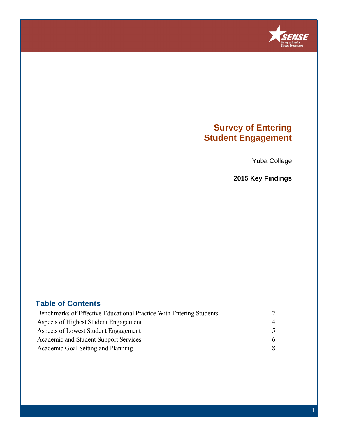

## **Survey of Entering Student Engagement**

Yuba College

**2015 Key Findings**

### **Table of Contents**

| Benchmarks of Effective Educational Practice With Entering Students |                |
|---------------------------------------------------------------------|----------------|
| Aspects of Highest Student Engagement                               | $\overline{4}$ |
| Aspects of Lowest Student Engagement                                |                |
| Academic and Student Support Services                               | 6              |
| Academic Goal Setting and Planning                                  | -8             |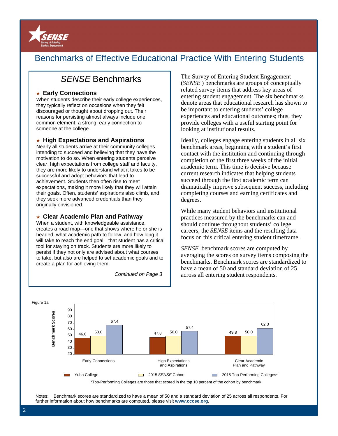

### Benchmarks of Effective Educational Practice With Entering Students

### SENSE Benchmarks

#### ★ **Early Connections**

When students describe their early college experiences, they typically reflect on occasions when they felt discouraged or thought about dropping out. Their reasons for persisting almost always include one common element: a strong, early connection to someone at the college.

#### ★ **High Expectations and Aspirations**

Nearly all students arrive at their community colleges intending to succeed and believing that they have the motivation to do so. When entering students perceive clear, high expectations from college staff and faculty, they are more likely to understand what it takes to be successful and adopt behaviors that lead to achievement. Students then often rise to meet expectations, making it more likely that they will attain their goals. Often, students' aspirations also climb, and they seek more advanced credentials than they originally envisioned.

#### ★ **Clear Academic Plan and Pathway**

When a student, with knowledgeable assistance, creates a road map—one that shows where he or she is headed, what academic path to follow, and how long it will take to reach the end goal—that student has a critical tool for staying on track. Students are more likely to persist if they not only are advised about what courses to take, but also are helped to set academic goals and to create a plan for achieving them.

Continued on Page 3

The Survey of Entering Student Engagement (*SENSE* ) benchmarks are groups of conceptually related survey items that address key areas of entering student engagement. The six benchmarks denote areas that educational research has shown to be important to entering students' college experiences and educational outcomes; thus, they provide colleges with a useful starting point for looking at institutional results.

Ideally, colleges engage entering students in all six benchmark areas, beginning with a student's first contact with the institution and continuing through completion of the first three weeks of the initial academic term. This time is decisive because current research indicates that helping students succeed through the first academic term can dramatically improve subsequent success, including completing courses and earning certificates and degrees.

While many student behaviors and institutional practices measured by the benchmarks can and should continue throughout students' college careers, the *SENSE* items and the resulting data focus on this critical entering student timeframe.

*SENSE* benchmark scores are computed by averaging the scores on survey items composing the benchmarks. Benchmark scores are standardized to have a mean of 50 and standard deviation of 25 across all entering student respondents.



Notes: Benchmark scores are standardized to have a mean of 50 and a standard deviation of 25 across all respondents. For further information about how benchmarks are computed, please visit **www.cccse.org**.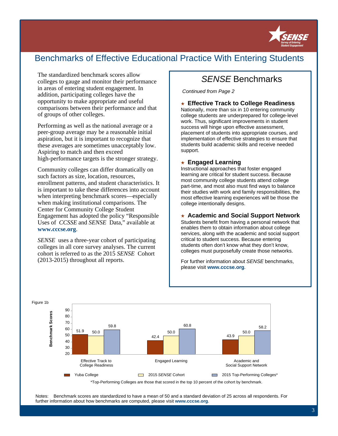

## Benchmarks of Effective Educational Practice With Entering Students

The standardized benchmark scores allow colleges to gauge and monitor their performance in areas of entering student engagement. In addition, participating colleges have the opportunity to make appropriate and useful comparisons between their performance and that of groups of other colleges.

Performing as well as the national average or a peer-group average may be a reasonable initial aspiration, but it is important to recognize that these averages are sometimes unacceptably low. Aspiring to match and then exceed high-performance targets is the stronger strategy.

Community colleges can differ dramatically on such factors as size, location, resources, enrollment patterns, and student characteristics. It is important to take these differences into account when interpreting benchmark scores—especially when making institutional comparisons. The Center for Community College Student Engagement has adopted the policy "Responsible Uses of *CCSSE* and *SENSE* Data," available at **www.cccse.org**.

*SENSE* uses a three-year cohort of participating colleges in all core survey analyses. The current cohort is referred to as the 2015 *SENSE* Cohort (2013-2015) throughout all reports.

### SENSE Benchmarks

Continued from Page 2

★ **Effective Track to College Readiness** 

Nationally, more than six in 10 entering community college students are underprepared for college-level work. Thus, significant improvements in student success will hinge upon effective assessment, placement of students into appropriate courses, and implementation of effective strategies to ensure that students build academic skills and receive needed support.

#### ★ **Engaged Learning**

Instructional approaches that foster engaged learning are critical for student success. Because most community college students attend college part-time, and most also must find ways to balance their studies with work and family responsibilities, the most effective learning experiences will be those the college intentionally designs.

#### ★ **Academic and Social Support Network**

Students benefit from having a personal network that enables them to obtain information about college services, along with the academic and social support critical to student success. Because entering students often don't know what they don't know, colleges must purposefully create those networks.

For further information about SENSE benchmarks, please visit **www.cccse.org**.



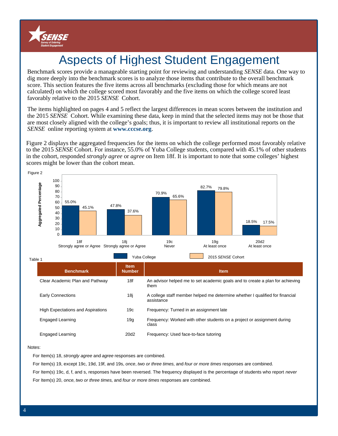

# Aspects of Highest Student Engagement

Benchmark scores provide a manageable starting point for reviewing and understanding *SENSE* data. One way to dig more deeply into the benchmark scores is to analyze those items that contribute to the overall benchmark score. This section features the five items across all benchmarks (excluding those for which means are not calculated) on which the college scored most favorably and the five items on which the college scored least favorably relative to the 2015 *SENSE* Cohort.

The items highlighted on pages 4 and 5 reflect the largest differences in mean scores between the institution and the 2015 *SENSE* Cohort. While examining these data, keep in mind that the selected items may not be those that are most closely aligned with the college's goals; thus, it is important to review all institutional reports on the *SENSE* online reporting system at **www.cccse.org**.

Figure 2 displays the aggregated frequencies for the items on which the college performed most favorably relative to the 2015 *SENSE* Cohort. For instance, 55.0% of Yuba College students, compared with 45.1% of other students in the cohort, responded *strongly agree* or *agree* on Item 18f. It is important to note that some colleges' highest scores might be lower than the cohort mean.



| <b>Benchmark</b>                         | <b>Item</b><br><b>Number</b> | <b>Item</b>                                                                                |
|------------------------------------------|------------------------------|--------------------------------------------------------------------------------------------|
| Clear Academic Plan and Pathway          | 18f                          | An advisor helped me to set academic goals and to create a plan for achieving<br>them      |
| <b>Early Connections</b>                 | 18j                          | A college staff member helped me determine whether I qualified for financial<br>assistance |
| <b>High Expectations and Aspirations</b> | 19c                          | Frequency: Turned in an assignment late                                                    |
| Engaged Learning                         | 19g                          | Frequency: Worked with other students on a project or assignment during<br>class           |
| Engaged Learning                         | 20d <sub>2</sub>             | Frequency: Used face-to-face tutoring                                                      |

#### Notes:

For Item(s) 18, strongly agree and agree responses are combined.

For Item(s) 19, except 19c, 19d, 19f, and 19s, once, two or three times, and four or more times responses are combined.

For Item(s) 19c, d, f, and s, responses have been reversed. The frequency displayed is the percentage of students who report never

For Item(s) 20, once, two or three times, and four or more times responses are combined.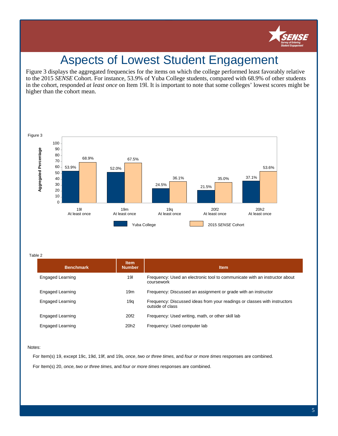

## Aspects of Lowest Student Engagement

Figure 3 displays the aggregated frequencies for the items on which the college performed least favorably relative to the 2015 *SENSE* Cohort. For instance, 53.9% of Yuba College students, compared with 68.9% of other students in the cohort, responded *at least once* on Item 19l. It is important to note that some colleges' lowest scores might be higher than the cohort mean.



Table 2

| <b>Benchmark</b> | <b>Item</b><br><b>Number</b> | <b>Item</b>                                                                                   |  |  |
|------------------|------------------------------|-----------------------------------------------------------------------------------------------|--|--|
| Engaged Learning | 191                          | Frequency: Used an electronic tool to communicate with an instructor about<br>coursework      |  |  |
| Engaged Learning | 19 <sub>m</sub>              | Frequency: Discussed an assignment or grade with an instructor                                |  |  |
| Engaged Learning | 19q                          | Frequency: Discussed ideas from your readings or classes with instructors<br>outside of class |  |  |
| Engaged Learning | 20f <sub>2</sub>             | Frequency: Used writing, math, or other skill lab                                             |  |  |
| Engaged Learning | 20 <sub>h2</sub>             | Frequency: Used computer lab                                                                  |  |  |

Notes:

For Item(s) 19, except 19c, 19d, 19f, and 19s, once, two or three times, and four or more times responses are combined. For Item(s) 20, once, two or three times, and four or more times responses are combined.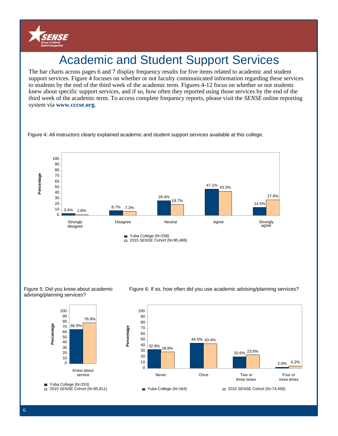

# Academic and Student Support Services

The bar charts across pages 6 and 7 display frequency results for five items related to academic and student support services. Figure 4 focuses on whether or not faculty communicated information regarding these services to students by the end of the third week of the academic term. Figures 4-12 focus on whether or not students knew about specific support services, and if so, how often they reported using those services by the end of the third week of the academic term. To access complete frequency reports, please visit the *SENSE* online reporting system via **www.cccse.org**.



Figure 4: All instructors clearly explained academic and student support services available at this college.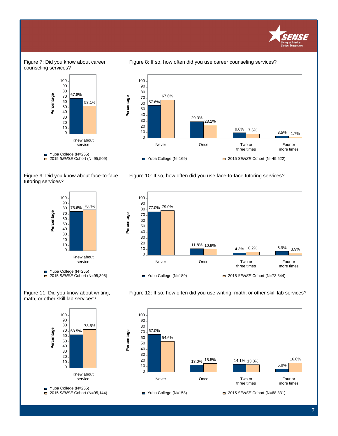

#### Figure 7: Did you know about career counseling services?



Figure 8: If so, how often did you use career counseling services?



Figure 10: If so, how often did you use face-to-face tutoring services?

Figure 9: Did you know about face-to-face tutoring services?













7